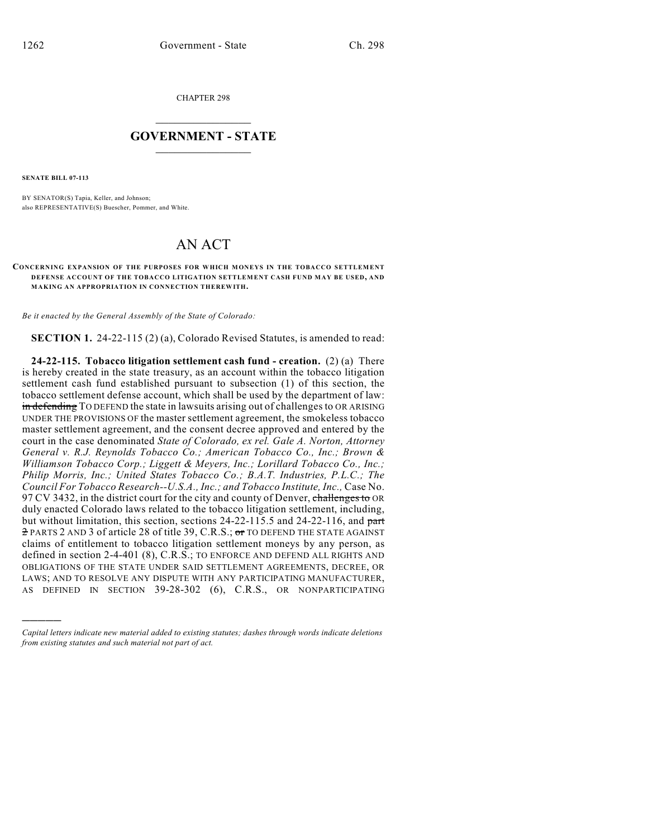CHAPTER 298

## $\overline{\phantom{a}}$  . The set of the set of the set of the set of the set of the set of the set of the set of the set of the set of the set of the set of the set of the set of the set of the set of the set of the set of the set o **GOVERNMENT - STATE**  $\_$

**SENATE BILL 07-113**

)))))

BY SENATOR(S) Tapia, Keller, and Johnson; also REPRESENTATIVE(S) Buescher, Pommer, and White.

## AN ACT

## **CONCERNING EXPANSION OF THE PURPOSES FOR WHICH MONEYS IN THE TOBACCO SETTLEMENT DEFENSE ACCOUNT OF THE TOBACCO LITIGATION SETTLEMENT CASH FUND MAY BE USED, AND MAKING AN APPROPRIATION IN CONNECTION THEREWITH.**

*Be it enacted by the General Assembly of the State of Colorado:*

**SECTION 1.** 24-22-115 (2) (a), Colorado Revised Statutes, is amended to read:

**24-22-115. Tobacco litigation settlement cash fund - creation.** (2) (a) There is hereby created in the state treasury, as an account within the tobacco litigation settlement cash fund established pursuant to subsection (1) of this section, the tobacco settlement defense account, which shall be used by the department of law: in defending TO DEFEND the state in lawsuits arising out of challenges to OR ARISING UNDER THE PROVISIONS OF the master settlement agreement, the smokeless tobacco master settlement agreement, and the consent decree approved and entered by the court in the case denominated *State of Colorado, ex rel. Gale A. Norton, Attorney General v. R.J. Reynolds Tobacco Co.; American Tobacco Co., Inc.; Brown & Williamson Tobacco Corp.; Liggett & Meyers, Inc.; Lorillard Tobacco Co., Inc.; Philip Morris, Inc.; United States Tobacco Co.; B.A.T. Industries, P.L.C.; The Council For Tobacco Research--U.S.A., Inc.; and Tobacco Institute, Inc.,* Case No. 97 CV 3432, in the district court for the city and county of Denver, challenges to OR duly enacted Colorado laws related to the tobacco litigation settlement, including, but without limitation, this section, sections 24-22-115.5 and 24-22-116, and part 2 PARTS 2 AND 3 of article 28 of title 39, C.R.S.; or TO DEFEND THE STATE AGAINST claims of entitlement to tobacco litigation settlement moneys by any person, as defined in section 2-4-401 (8), C.R.S.; TO ENFORCE AND DEFEND ALL RIGHTS AND OBLIGATIONS OF THE STATE UNDER SAID SETTLEMENT AGREEMENTS, DECREE, OR LAWS; AND TO RESOLVE ANY DISPUTE WITH ANY PARTICIPATING MANUFACTURER, AS DEFINED IN SECTION 39-28-302 (6), C.R.S., OR NONPARTICIPATING

*Capital letters indicate new material added to existing statutes; dashes through words indicate deletions from existing statutes and such material not part of act.*